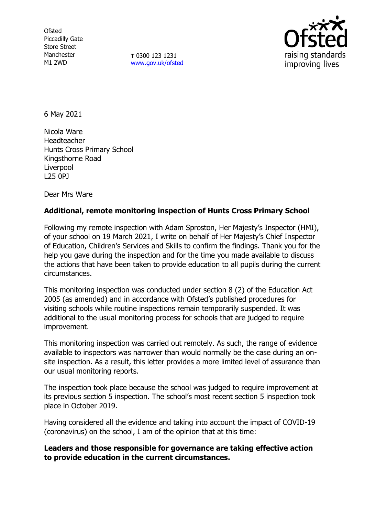**Ofsted** Piccadilly Gate Store Street Manchester M1 2WD

**T** 0300 123 1231 [www.gov.uk/ofsted](http://www.gov.uk/ofsted)



6 May 2021

Nicola Ware Headteacher Hunts Cross Primary School Kingsthorne Road Liverpool L25 0PJ

Dear Mrs Ware

# **Additional, remote monitoring inspection of Hunts Cross Primary School**

Following my remote inspection with Adam Sproston, Her Majesty's Inspector (HMI), of your school on 19 March 2021, I write on behalf of Her Majesty's Chief Inspector of Education, Children's Services and Skills to confirm the findings. Thank you for the help you gave during the inspection and for the time you made available to discuss the actions that have been taken to provide education to all pupils during the current circumstances.

This monitoring inspection was conducted under section 8 (2) of the Education Act 2005 (as amended) and in accordance with Ofsted's published procedures for visiting schools while routine inspections remain temporarily suspended. It was additional to the usual monitoring process for schools that are judged to require improvement.

This monitoring inspection was carried out remotely. As such, the range of evidence available to inspectors was narrower than would normally be the case during an onsite inspection. As a result, this letter provides a more limited level of assurance than our usual monitoring reports.

The inspection took place because the school was judged to require improvement at its previous section 5 inspection. The school's most recent section 5 inspection took place in October 2019.

Having considered all the evidence and taking into account the impact of COVID-19 (coronavirus) on the school, I am of the opinion that at this time:

# **Leaders and those responsible for governance are taking effective action to provide education in the current circumstances.**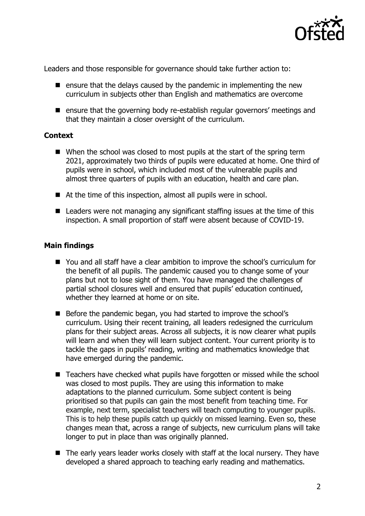

Leaders and those responsible for governance should take further action to:

- $\blacksquare$  ensure that the delays caused by the pandemic in implementing the new curriculum in subjects other than English and mathematics are overcome
- ensure that the governing body re-establish regular governors' meetings and that they maintain a closer oversight of the curriculum.

## **Context**

- When the school was closed to most pupils at the start of the spring term 2021, approximately two thirds of pupils were educated at home. One third of pupils were in school, which included most of the vulnerable pupils and almost three quarters of pupils with an education, health and care plan.
- At the time of this inspection, almost all pupils were in school.
- Leaders were not managing any significant staffing issues at the time of this inspection. A small proportion of staff were absent because of COVID-19.

## **Main findings**

- You and all staff have a clear ambition to improve the school's curriculum for the benefit of all pupils. The pandemic caused you to change some of your plans but not to lose sight of them. You have managed the challenges of partial school closures well and ensured that pupils' education continued, whether they learned at home or on site.
- Before the pandemic began, you had started to improve the school's curriculum. Using their recent training, all leaders redesigned the curriculum plans for their subject areas. Across all subjects, it is now clearer what pupils will learn and when they will learn subject content. Your current priority is to tackle the gaps in pupils' reading, writing and mathematics knowledge that have emerged during the pandemic.
- Teachers have checked what pupils have forgotten or missed while the school was closed to most pupils. They are using this information to make adaptations to the planned curriculum. Some subject content is being prioritised so that pupils can gain the most benefit from teaching time. For example, next term, specialist teachers will teach computing to younger pupils. This is to help these pupils catch up quickly on missed learning. Even so, these changes mean that, across a range of subjects, new curriculum plans will take longer to put in place than was originally planned.
- $\blacksquare$  The early years leader works closely with staff at the local nursery. They have developed a shared approach to teaching early reading and mathematics.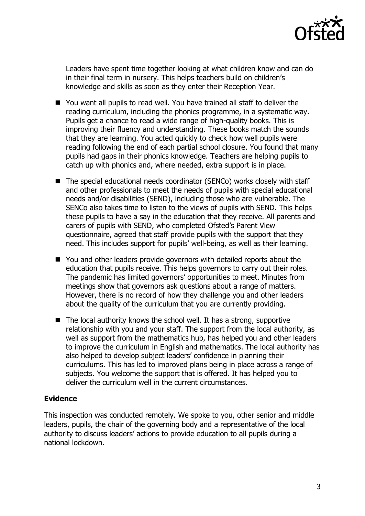

Leaders have spent time together looking at what children know and can do in their final term in nursery. This helps teachers build on children's knowledge and skills as soon as they enter their Reception Year.

- You want all pupils to read well. You have trained all staff to deliver the reading curriculum, including the phonics programme, in a systematic way. Pupils get a chance to read a wide range of high-quality books. This is improving their fluency and understanding. These books match the sounds that they are learning. You acted quickly to check how well pupils were reading following the end of each partial school closure. You found that many pupils had gaps in their phonics knowledge. Teachers are helping pupils to catch up with phonics and, where needed, extra support is in place.
- The special educational needs coordinator (SENCo) works closely with staff and other professionals to meet the needs of pupils with special educational needs and/or disabilities (SEND), including those who are vulnerable. The SENCo also takes time to listen to the views of pupils with SEND. This helps these pupils to have a say in the education that they receive. All parents and carers of pupils with SEND, who completed Ofsted's Parent View questionnaire, agreed that staff provide pupils with the support that they need. This includes support for pupils' well-being, as well as their learning.
- You and other leaders provide governors with detailed reports about the education that pupils receive. This helps governors to carry out their roles. The pandemic has limited governors' opportunities to meet. Minutes from meetings show that governors ask questions about a range of matters. However, there is no record of how they challenge you and other leaders about the quality of the curriculum that you are currently providing.
- $\blacksquare$  The local authority knows the school well. It has a strong, supportive relationship with you and your staff. The support from the local authority, as well as support from the mathematics hub, has helped you and other leaders to improve the curriculum in English and mathematics. The local authority has also helped to develop subject leaders' confidence in planning their curriculums. This has led to improved plans being in place across a range of subjects. You welcome the support that is offered. It has helped you to deliver the curriculum well in the current circumstances.

# **Evidence**

This inspection was conducted remotely. We spoke to you, other senior and middle leaders, pupils, the chair of the governing body and a representative of the local authority to discuss leaders' actions to provide education to all pupils during a national lockdown.